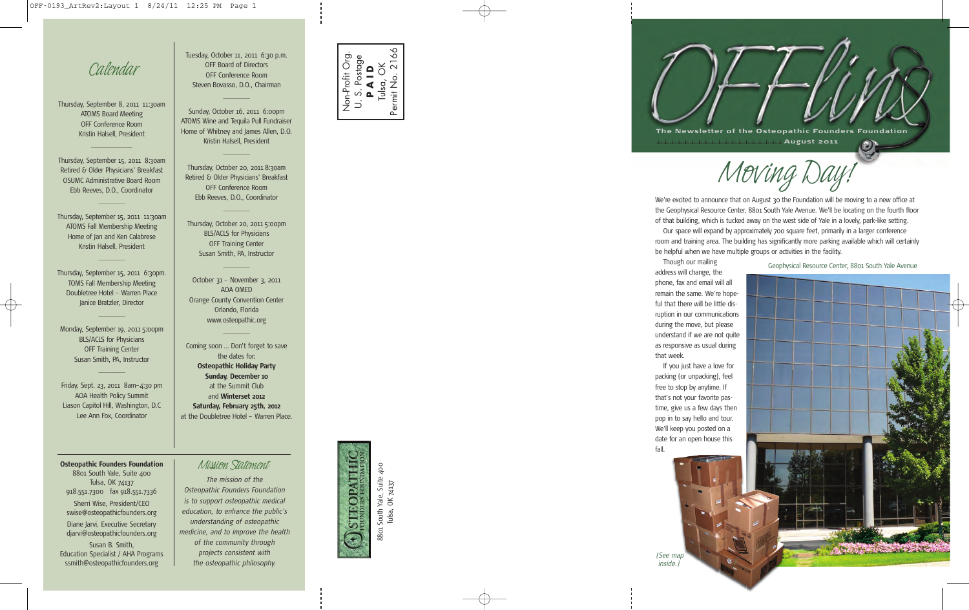*Calendar*

Thursday, September 8, 2011 11:30am ATOMS Board Meeting OFF Conference Room Kristin Halsell, President

Thursday, September 15, 2011 8:30am Retired & Older Physicians' Breakfast OSUMC Administrative Board Room Ebb Reeves, D.O., Coordinator

\_\_\_\_\_\_\_\_\_\_\_

 $\overline{\phantom{a}}$  , where  $\overline{\phantom{a}}$ 

Thursday, September 15, 2011 11:30am ATOMS Fall Membership Meeting Home of Jan and Ken Calabrese Kristin Halsell, President

 $\overline{\phantom{a}}$ 

Thursday, September 15, 2011 6:30pm. TOMS Fall Membership Meeting Doubletree Hotel – Warren Place Janice Bratzler, Director

Monday, September 19, 2011 5:00pm BLS/ACLS for Physicians OFF Training Center Susan Smith, PA, Instructor

\_\_\_\_\_\_\_\_\_\_\_

 $\overline{\phantom{a}}$ 

Friday, Sept. 23, 2011 8am–4:30 pm AOA Health Policy Summit Liason Capitol Hill, Washington, D.C Lee Ann Fox, Coordinator

**Osteopathic Founders Foundation** *Mission Statement* 8801 South Yale, Suite 400 Tulsa, OK 74137 918.551.7300 fax 918.551.7336 Sherri Wise, President/CEO swise@osteopathicfounders.org Diane Jarvi, Executive Secretary djarvi@osteopathicfounders.org Susan B. Smith,

Education Specialist / AHA Programs ssmith@osteopathicfounders.org

Tuesday, October 11, 2011 6:30 p.m. OFF Board of Directors OFF Conference Room Steven Bovasso, D.O., Chairman

 $\overline{\phantom{a}}$ 

Sunday, October 16, 2011 6:00pm ATOMS Wine and Tequila Pull Fundraiser Home of Whitney and James Allen, D.O. Kristin Halsell, President

Thursday, October 20, 2011 8:30am Retired & Older Physicians' Breakfast OFF Conference Room Ebb Reeves, D.O., Coordinator

 $\overline{\phantom{a}}$ 

 $\overline{\phantom{a}}$ 

Thursday, October 20, 2011 5:00pm BLS/ACLS for Physicians OFF Training Center Susan Smith, PA, Instructor

October 31 – November 3, 2011 AOA OMED Orange County Convention Center Orlando, Florida www.osteopathic.org

 $\overline{\phantom{a}}$ 

 $\overline{\phantom{a}}$ 

Coming soon … Don't forget to save the dates for: **Osteopathic Holiday Party Sunday, December 10** at the Summit Club and **Winterset 2012 Saturday, February 25th, 2012** at the Doubletree Hotel – Warren Place.

*The mission of the Osteopathic Founders Foundation*

*is to support osteopathic medical education, to enhance the public's understanding of osteopathic medicine, and to improve the health of the community through projects consistent with the osteopathic philosophy.*



THTACHES 1 South Yale, Suite 400<br>Tulsa, OK 74137 8801 South Yale, Suite 400 8801

Tulsa, OK 74137

**The Newsletter of the Osteopathic Founders Foundation August 2 0 11**  $\omega$  :

*Moving Day!*

We're excited to announce that on August 30 the Foundation will be moving to a new office at the Geophysical Resource Center, 8801 South Yale Avenue. We'll be locating on the fourth floor of that building, which is tucked away on the west side of Yale in a lovely, park-like setting.

Our space will expand by approximately 700 square feet, primarily in a larger conference room and training area. The building has significantly more parking available which will certainly be helpful when we have multiple groups or activities in the facility.

Though our mailing address will change, the phone, fax and email will all remain the same. We're hopeful that there will be little disruption in our communications during the move, but please understand if we are not quite as responsive as usual during that week.

If you just have a love for packing (or unpacking), feel free to stop by anytime. If that's not your favorite pastime, give us a few days then pop in to say hello and tour. We'll keep you posted on a date for an open house this fall.

*(See map inside.)*